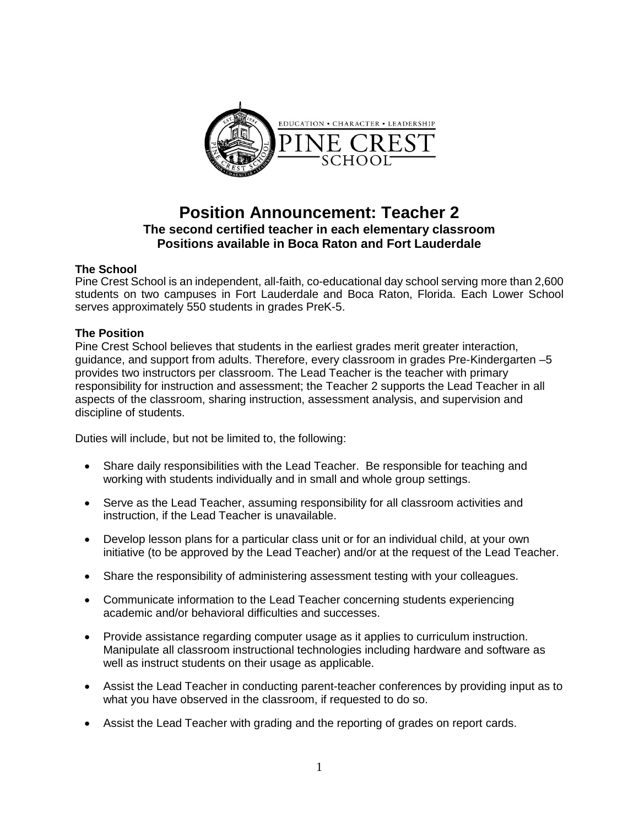

# **Position Announcement: Teacher 2 The second certified teacher in each elementary classroom Positions available in Boca Raton and Fort Lauderdale**

# **The School**

Pine Crest School is an independent, all-faith, co-educational day school serving more than 2,600 students on two campuses in Fort Lauderdale and Boca Raton, Florida. Each Lower School serves approximately 550 students in grades PreK-5.

# **The Position**

Pine Crest School believes that students in the earliest grades merit greater interaction, guidance, and support from adults. Therefore, every classroom in grades Pre-Kindergarten –5 provides two instructors per classroom. The Lead Teacher is the teacher with primary responsibility for instruction and assessment; the Teacher 2 supports the Lead Teacher in all aspects of the classroom, sharing instruction, assessment analysis, and supervision and discipline of students.

Duties will include, but not be limited to, the following:

- Share daily responsibilities with the Lead Teacher. Be responsible for teaching and working with students individually and in small and whole group settings.
- Serve as the Lead Teacher, assuming responsibility for all classroom activities and instruction, if the Lead Teacher is unavailable.
- Develop lesson plans for a particular class unit or for an individual child, at your own initiative (to be approved by the Lead Teacher) and/or at the request of the Lead Teacher.
- Share the responsibility of administering assessment testing with your colleagues.
- Communicate information to the Lead Teacher concerning students experiencing academic and/or behavioral difficulties and successes.
- Provide assistance regarding computer usage as it applies to curriculum instruction. Manipulate all classroom instructional technologies including hardware and software as well as instruct students on their usage as applicable.
- Assist the Lead Teacher in conducting parent-teacher conferences by providing input as to what you have observed in the classroom, if requested to do so.
- Assist the Lead Teacher with grading and the reporting of grades on report cards.